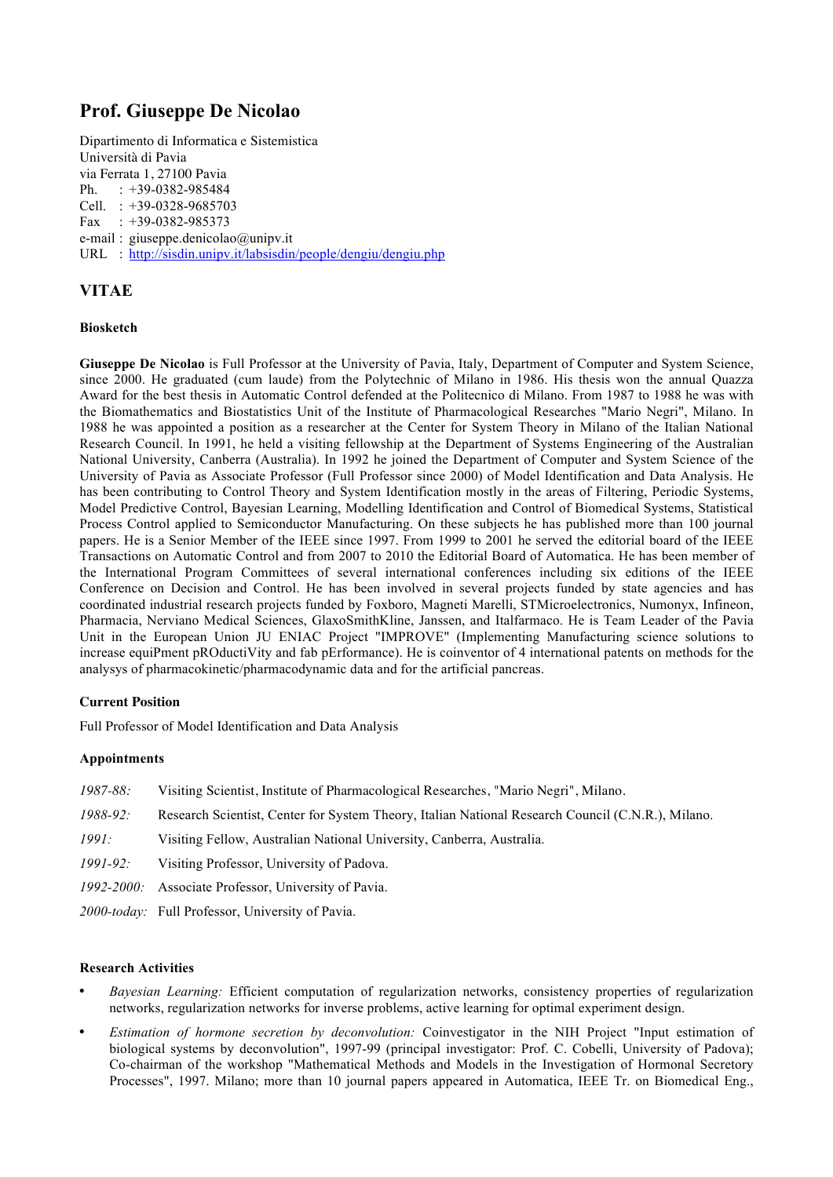# **Prof. Giuseppe De Nicolao**

Dipartimento di Informatica e Sistemistica Università di Pavia via Ferrata 1, 27100 Pavia Ph. : +39-0382-985484 Cell. : +39-0328-9685703 Fax : +39-0382-985373 e-mail : giuseppe.denicolao@unipv.it URL : http://sisdin.unipv.it/labsisdin/people/dengiu/dengiu.php

# **VITAE**

# **Biosketch**

**Giuseppe De Nicolao** is Full Professor at the University of Pavia, Italy, Department of Computer and System Science, since 2000. He graduated (cum laude) from the Polytechnic of Milano in 1986. His thesis won the annual Quazza Award for the best thesis in Automatic Control defended at the Politecnico di Milano. From 1987 to 1988 he was with the Biomathematics and Biostatistics Unit of the Institute of Pharmacological Researches "Mario Negri", Milano. In 1988 he was appointed a position as a researcher at the Center for System Theory in Milano of the Italian National Research Council. In 1991, he held a visiting fellowship at the Department of Systems Engineering of the Australian National University, Canberra (Australia). In 1992 he joined the Department of Computer and System Science of the University of Pavia as Associate Professor (Full Professor since 2000) of Model Identification and Data Analysis. He has been contributing to Control Theory and System Identification mostly in the areas of Filtering, Periodic Systems, Model Predictive Control, Bayesian Learning, Modelling Identification and Control of Biomedical Systems, Statistical Process Control applied to Semiconductor Manufacturing. On these subjects he has published more than 100 journal papers. He is a Senior Member of the IEEE since 1997. From 1999 to 2001 he served the editorial board of the IEEE Transactions on Automatic Control and from 2007 to 2010 the Editorial Board of Automatica. He has been member of the International Program Committees of several international conferences including six editions of the IEEE Conference on Decision and Control. He has been involved in several projects funded by state agencies and has coordinated industrial research projects funded by Foxboro, Magneti Marelli, STMicroelectronics, Numonyx, Infineon, Pharmacia, Nerviano Medical Sciences, GlaxoSmithKline, Janssen, and Italfarmaco. He is Team Leader of the Pavia Unit in the European Union JU ENIAC Project "IMPROVE" (Implementing Manufacturing science solutions to increase equiPment pROductiVity and fab pErformance). He is coinventor of 4 international patents on methods for the analysys of pharmacokinetic/pharmacodynamic data and for the artificial pancreas.

# **Current Position**

Full Professor of Model Identification and Data Analysis

# **Appointments**

- *1987-88:* Visiting Scientist, Institute of Pharmacological Researches, "Mario Negri", Milano.
- *1988-92:* Research Scientist, Center for System Theory, Italian National Research Council (C.N.R.), Milano.
- *1991:* Visiting Fellow, Australian National University, Canberra, Australia.
- *1991-92:* Visiting Professor, University of Padova.
- *1992-2000:* Associate Professor, University of Pavia.
- *2000-today:* Full Professor, University of Pavia.

# **Research Activities**

- *Bayesian Learning:* Efficient computation of regularization networks, consistency properties of regularization networks, regularization networks for inverse problems, active learning for optimal experiment design.
- *Estimation of hormone secretion by deconvolution:* Coinvestigator in the NIH Project "Input estimation of biological systems by deconvolution", 1997-99 (principal investigator: Prof. C. Cobelli, University of Padova); Co-chairman of the workshop "Mathematical Methods and Models in the Investigation of Hormonal Secretory Processes", 1997. Milano; more than 10 journal papers appeared in Automatica, IEEE Tr. on Biomedical Eng.,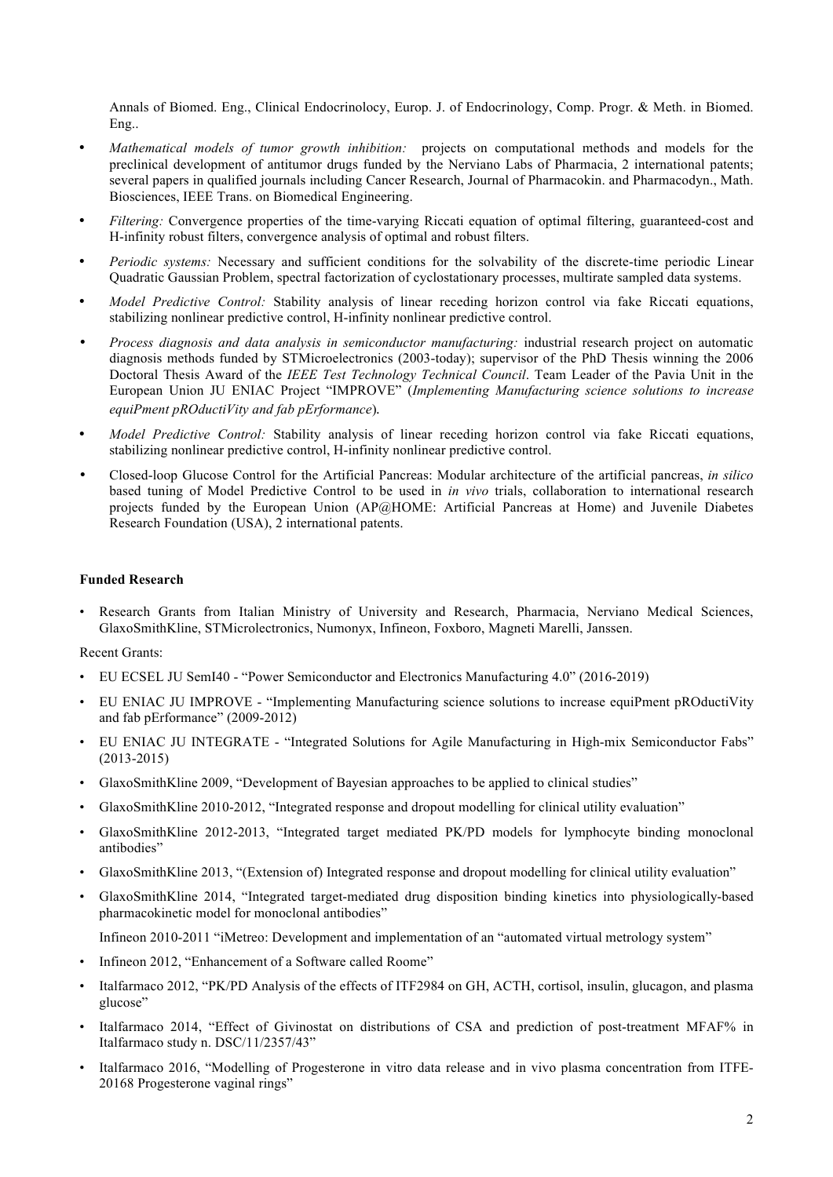Annals of Biomed. Eng., Clinical Endocrinolocy, Europ. J. of Endocrinology, Comp. Progr. & Meth. in Biomed. Eng..

- *Mathematical models of tumor growth inhibition:* projects on computational methods and models for the preclinical development of antitumor drugs funded by the Nerviano Labs of Pharmacia, 2 international patents; several papers in qualified journals including Cancer Research, Journal of Pharmacokin. and Pharmacodyn., Math. Biosciences, IEEE Trans. on Biomedical Engineering.
- *Filtering:* Convergence properties of the time-varying Riccati equation of optimal filtering, guaranteed-cost and H-infinity robust filters, convergence analysis of optimal and robust filters.
- *Periodic systems:* Necessary and sufficient conditions for the solvability of the discrete-time periodic Linear Quadratic Gaussian Problem, spectral factorization of cyclostationary processes, multirate sampled data systems.
- *Model Predictive Control:* Stability analysis of linear receding horizon control via fake Riccati equations, stabilizing nonlinear predictive control, H-infinity nonlinear predictive control.
- *Process diagnosis and data analysis in semiconductor manufacturing:* industrial research project on automatic diagnosis methods funded by STMicroelectronics (2003-today); supervisor of the PhD Thesis winning the 2006 Doctoral Thesis Award of the *IEEE Test Technology Technical Council*. Team Leader of the Pavia Unit in the European Union JU ENIAC Project "IMPROVE" (*Implementing Manufacturing science solutions to increase equiPment pROductiVity and fab pErformance*)*.*
- *Model Predictive Control:* Stability analysis of linear receding horizon control via fake Riccati equations, stabilizing nonlinear predictive control, H-infinity nonlinear predictive control.
- Closed-loop Glucose Control for the Artificial Pancreas: Modular architecture of the artificial pancreas, *in silico* based tuning of Model Predictive Control to be used in *in vivo* trials, collaboration to international research projects funded by the European Union (AP@HOME: Artificial Pancreas at Home) and Juvenile Diabetes Research Foundation (USA), 2 international patents.

#### **Funded Research**

• Research Grants from Italian Ministry of University and Research, Pharmacia, Nerviano Medical Sciences, GlaxoSmithKline, STMicrolectronics, Numonyx, Infineon, Foxboro, Magneti Marelli, Janssen.

#### Recent Grants:

- EU ECSEL JU SemI40 "Power Semiconductor and Electronics Manufacturing 4.0" (2016-2019)
- EU ENIAC JU IMPROVE "Implementing Manufacturing science solutions to increase equiPment pROductiVity and fab pErformance" (2009-2012)
- EU ENIAC JU INTEGRATE "Integrated Solutions for Agile Manufacturing in High-mix Semiconductor Fabs" (2013-2015)
- GlaxoSmithKline 2009, "Development of Bayesian approaches to be applied to clinical studies"
- GlaxoSmithKline 2010-2012, "Integrated response and dropout modelling for clinical utility evaluation"
- GlaxoSmithKline 2012-2013, "Integrated target mediated PK/PD models for lymphocyte binding monoclonal antibodies"
- GlaxoSmithKline 2013, "(Extension of) Integrated response and dropout modelling for clinical utility evaluation"
- GlaxoSmithKline 2014, "Integrated target-mediated drug disposition binding kinetics into physiologically-based pharmacokinetic model for monoclonal antibodies"

Infineon 2010-2011 "iMetreo: Development and implementation of an "automated virtual metrology system"

- Infineon 2012, "Enhancement of a Software called Roome"
- Italfarmaco 2012, "PK/PD Analysis of the effects of ITF2984 on GH, ACTH, cortisol, insulin, glucagon, and plasma glucose"
- Italfarmaco 2014, "Effect of Givinostat on distributions of CSA and prediction of post-treatment MFAF% in Italfarmaco study n. DSC/11/2357/43"
- Italfarmaco 2016, "Modelling of Progesterone in vitro data release and in vivo plasma concentration from ITFE-20168 Progesterone vaginal rings"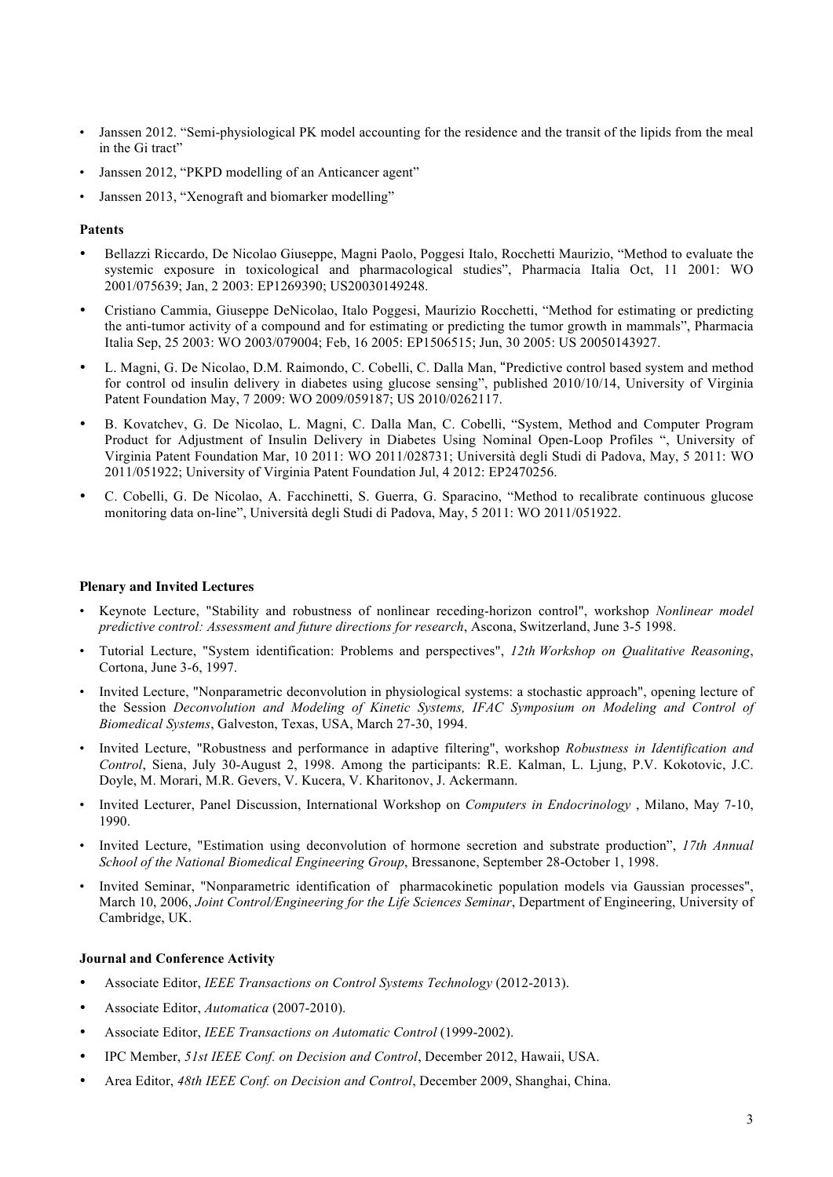- Janssen 2012. "Semi-physiological PK model accounting for the residence and the transit of the lipids from the meal in the Gi tract"
- Janssen 2012, "PKPD modelling of an Anticancer agent"
- Janssen 2013, "Xenograft and biomarker modelling"

#### **Patents**

- Bellazzi Riccardo, De Nicolao Giuseppe, Magni Paolo, Poggesi Italo, Rocchetti Maurizio, "Method to evaluate the systemic exposure in toxicological and pharmacological studies", Pharmacia Italia Oct, 11 2001: WO 2001/075639; Jan, 2 2003: EP1269390; US20030149248.
- Cristiano Cammia, Giuseppe DeNicolao, Italo Poggesi, Maurizio Rocchetti, "Method for estimating or predicting the anti-tumor activity of a compound and for estimating or predicting the tumor growth in mammals", Pharmacia Italia Sep, 25 2003: WO 2003/079004; Feb, 16 2005: EP1506515; Jun, 30 2005: US 20050143927.
- L. Magni, G. De Nicolao, D.M. Raimondo, C. Cobelli, C. Dalla Man, "Predictive control based system and method for control od insulin delivery in diabetes using glucose sensing", published 2010/10/14, University of Virginia Patent Foundation May, 7 2009: WO 2009/059187; US 2010/0262117.
- B. Kovatchev, G. De Nicolao, L. Magni, C. Dalla Man, C. Cobelli, "System, Method and Computer Program Product for Adjustment of Insulin Delivery in Diabetes Using Nominal Open-Loop Profiles ", University of Virginia Patent Foundation Mar, 10 2011: WO 2011/028731; Università degli Studi di Padova, May, 5 2011: WO 2011/051922; University of Virginia Patent Foundation Jul, 4 2012: EP2470256.
- C. Cobelli, G. De Nicolao, A. Facchinetti, S. Guerra, G. Sparacino, "Method to recalibrate continuous glucose monitoring data on-line", Università degli Studi di Padova, May, 5 2011: WO 2011/051922.

#### **Plenary and Invited Lectures**

- Keynote Lecture, "Stability and robustness of nonlinear receding-horizon control", workshop *Nonlinear model predictive control: Assessment and future directions for research*, Ascona, Switzerland, June 3-5 1998.
- Tutorial Lecture, "System identification: Problems and perspectives", *12th Workshop on Qualitative Reasoning*, Cortona, June 3-6, 1997.
- Invited Lecture, "Nonparametric deconvolution in physiological systems: a stochastic approach", opening lecture of the Session *Deconvolution and Modeling of Kinetic Systems, IFAC Symposium on Modeling and Control of Biomedical Systems*, Galveston, Texas, USA, March 27-30, 1994.
- Invited Lecture, "Robustness and performance in adaptive filtering", workshop *Robustness in Identification and Control*, Siena, July 30-August 2, 1998. Among the participants: R.E. Kalman, L. Ljung, P.V. Kokotovic, J.C. Doyle, M. Morari, M.R. Gevers, V. Kucera, V. Kharitonov, J. Ackermann.
- Invited Lecturer, Panel Discussion, International Workshop on *Computers in Endocrinology* , Milano, May 7-10, 1990.
- Invited Lecture, "Estimation using deconvolution of hormone secretion and substrate production", *17th Annual School of the National Biomedical Engineering Group*, Bressanone, September 28-October 1, 1998.
- Invited Seminar, "Nonparametric identification of pharmacokinetic population models via Gaussian processes", March 10, 2006, *Joint Control/Engineering for the Life Sciences Seminar*, Department of Engineering, University of Cambridge, UK.

#### **Journal and Conference Activity**

- Associate Editor, *IEEE Transactions on Control Systems Technology* (2012-2013).
- Associate Editor, *Automatica* (2007-2010).
- Associate Editor, *IEEE Transactions on Automatic Control* (1999-2002).
- IPC Member, *51st IEEE Conf. on Decision and Control*, December 2012, Hawaii, USA.
- Area Editor, *48th IEEE Conf. on Decision and Control*, December 2009, Shanghai, China.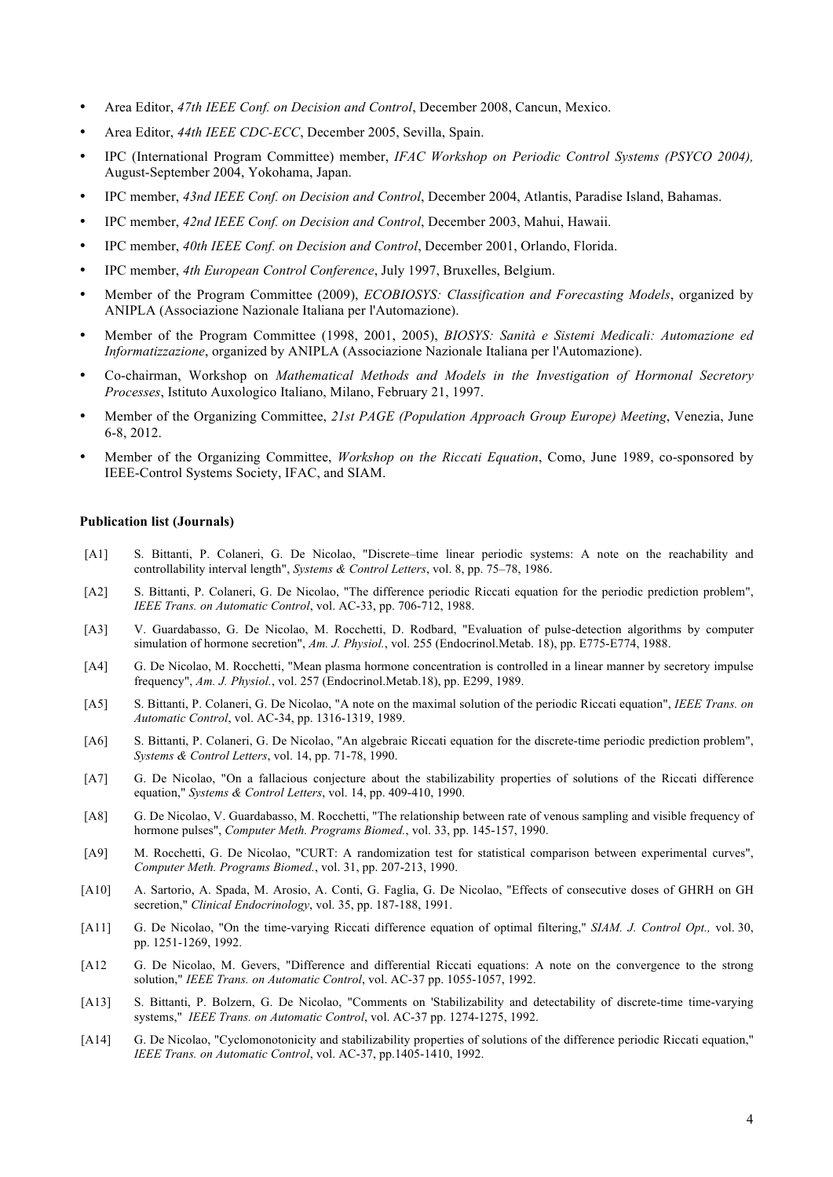- Area Editor, *47th IEEE Conf. on Decision and Control*, December 2008, Cancun, Mexico.
- Area Editor, *44th IEEE CDC-ECC*, December 2005, Sevilla, Spain.
- IPC (International Program Committee) member, *IFAC Workshop on Periodic Control Systems (PSYCO 2004),* August-September 2004, Yokohama, Japan.
- IPC member, *43nd IEEE Conf. on Decision and Control*, December 2004, Atlantis, Paradise Island, Bahamas.
- IPC member, *42nd IEEE Conf. on Decision and Control*, December 2003, Mahui, Hawaii.
- IPC member, *40th IEEE Conf. on Decision and Control*, December 2001, Orlando, Florida.
- IPC member, *4th European Control Conference*, July 1997, Bruxelles, Belgium.
- Member of the Program Committee (2009), *ECOBIOSYS: Classification and Forecasting Models*, organized by ANIPLA (Associazione Nazionale Italiana per l'Automazione).
- Member of the Program Committee (1998, 2001, 2005), *BIOSYS: Sanità e Sistemi Medicali: Automazione ed Informatizzazione*, organized by ANIPLA (Associazione Nazionale Italiana per l'Automazione).
- Co-chairman, Workshop on *Mathematical Methods and Models in the Investigation of Hormonal Secretory Processes*, Istituto Auxologico Italiano, Milano, February 21, 1997.
- Member of the Organizing Committee, *21st PAGE (Population Approach Group Europe) Meeting*, Venezia, June 6-8, 2012.
- Member of the Organizing Committee, *Workshop on the Riccati Equation*, Como, June 1989, co-sponsored by IEEE-Control Systems Society, IFAC, and SIAM.

#### **Publication list (Journals)**

- [A1] S. Bittanti, P. Colaneri, G. De Nicolao, "Discrete–time linear periodic systems: A note on the reachability and controllability interval length", *Systems & Control Letters*, vol. 8, pp. 75–78, 1986.
- [A2] S. Bittanti, P. Colaneri, G. De Nicolao, "The difference periodic Riccati equation for the periodic prediction problem", *IEEE Trans. on Automatic Control*, vol. AC-33, pp. 706-712, 1988.
- [A3] V. Guardabasso, G. De Nicolao, M. Rocchetti, D. Rodbard, "Evaluation of pulse-detection algorithms by computer simulation of hormone secretion", *Am. J. Physiol.*, vol. 255 (Endocrinol.Metab. 18), pp. E775-E774, 1988.
- [A4] G. De Nicolao, M. Rocchetti, "Mean plasma hormone concentration is controlled in a linear manner by secretory impulse frequency", *Am. J. Physiol.*, vol. 257 (Endocrinol.Metab.18), pp. E299, 1989.
- [A5] S. Bittanti, P. Colaneri, G. De Nicolao, "A note on the maximal solution of the periodic Riccati equation", *IEEE Trans. on Automatic Control*, vol. AC-34, pp. 1316-1319, 1989.
- [A6] S. Bittanti, P. Colaneri, G. De Nicolao, "An algebraic Riccati equation for the discrete-time periodic prediction problem", *Systems & Control Letters*, vol. 14, pp. 71-78, 1990.
- [A7] G. De Nicolao, "On a fallacious conjecture about the stabilizability properties of solutions of the Riccati difference equation," *Systems & Control Letters*, vol. 14, pp. 409-410, 1990.
- [A8] G. De Nicolao, V. Guardabasso, M. Rocchetti, "The relationship between rate of venous sampling and visible frequency of hormone pulses", *Computer Meth. Programs Biomed.*, vol. 33, pp. 145-157, 1990.
- [A9] M. Rocchetti, G. De Nicolao, "CURT: A randomization test for statistical comparison between experimental curves", *Computer Meth. Programs Biomed.*, vol. 31, pp. 207-213, 1990.
- [A10] A. Sartorio, A. Spada, M. Arosio, A. Conti, G. Faglia, G. De Nicolao, "Effects of consecutive doses of GHRH on GH secretion," *Clinical Endocrinology*, vol. 35, pp. 187-188, 1991.
- [A11] G. De Nicolao, "On the time-varying Riccati difference equation of optimal filtering," *SIAM. J. Control Opt.,* vol. 30, pp. 1251-1269, 1992.
- [A12 G. De Nicolao, M. Gevers, "Difference and differential Riccati equations: A note on the convergence to the strong solution," *IEEE Trans. on Automatic Control*, vol. AC-37 pp. 1055-1057, 1992.
- [A13] S. Bittanti, P. Bolzern, G. De Nicolao, "Comments on 'Stabilizability and detectability of discrete-time time-varying systems," *IEEE Trans. on Automatic Control*, vol. AC-37 pp. 1274-1275, 1992.
- [A14] G. De Nicolao, "Cyclomonotonicity and stabilizability properties of solutions of the difference periodic Riccati equation," *IEEE Trans. on Automatic Control*, vol. AC-37, pp.1405-1410, 1992.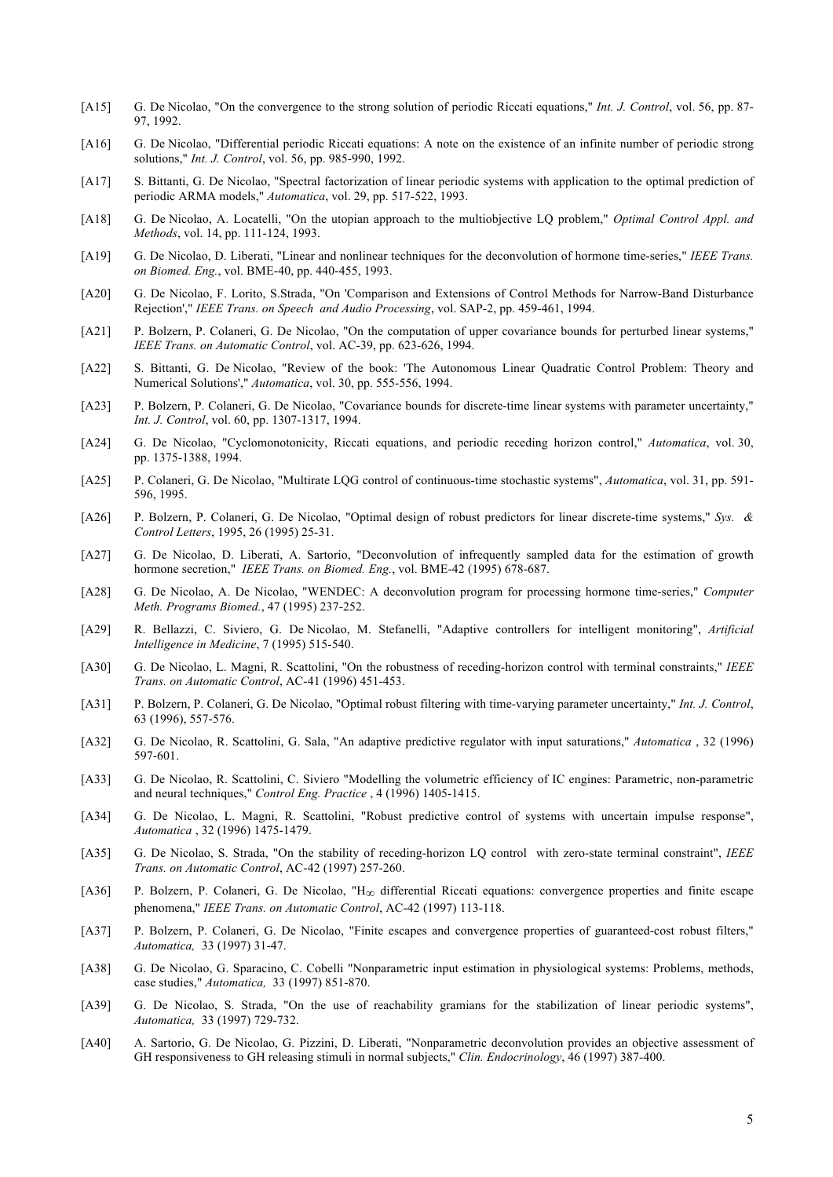- [A15] G. De Nicolao, "On the convergence to the strong solution of periodic Riccati equations," *Int. J. Control*, vol. 56, pp. 87- 97, 1992.
- [A16] G. De Nicolao, "Differential periodic Riccati equations: A note on the existence of an infinite number of periodic strong solutions," *Int. J. Control*, vol. 56, pp. 985-990, 1992.
- [A17] S. Bittanti, G. De Nicolao, "Spectral factorization of linear periodic systems with application to the optimal prediction of periodic ARMA models," *Automatica*, vol. 29, pp. 517-522, 1993.
- [A18] G. De Nicolao, A. Locatelli, "On the utopian approach to the multiobjective LQ problem," *Optimal Control Appl. and Methods*, vol. 14, pp. 111-124, 1993.
- [A19] G. De Nicolao, D. Liberati, "Linear and nonlinear techniques for the deconvolution of hormone time-series," *IEEE Trans. on Biomed. Eng.*, vol. BME-40, pp. 440-455, 1993.
- [A20] G. De Nicolao, F. Lorito, S.Strada, "On 'Comparison and Extensions of Control Methods for Narrow-Band Disturbance Rejection'," *IEEE Trans. on Speech and Audio Processing*, vol. SAP-2, pp. 459-461, 1994.
- [A21] P. Bolzern, P. Colaneri, G. De Nicolao, "On the computation of upper covariance bounds for perturbed linear systems," *IEEE Trans. on Automatic Control*, vol. AC-39, pp. 623-626, 1994.
- [A22] S. Bittanti, G. De Nicolao, "Review of the book: 'The Autonomous Linear Quadratic Control Problem: Theory and Numerical Solutions'," *Automatica*, vol. 30, pp. 555-556, 1994.
- [A23] P. Bolzern, P. Colaneri, G. De Nicolao, "Covariance bounds for discrete-time linear systems with parameter uncertainty," *Int. J. Control*, vol. 60, pp. 1307-1317, 1994.
- [A24] G. De Nicolao, "Cyclomonotonicity, Riccati equations, and periodic receding horizon control," *Automatica*, vol. 30, pp. 1375-1388, 1994.
- [A25] P. Colaneri, G. De Nicolao, "Multirate LQG control of continuous-time stochastic systems", *Automatica*, vol. 31, pp. 591- 596, 1995.
- [A26] P. Bolzern, P. Colaneri, G. De Nicolao, "Optimal design of robust predictors for linear discrete-time systems," *Sys. & Control Letters*, 1995, 26 (1995) 25-31.
- [A27] G. De Nicolao, D. Liberati, A. Sartorio, "Deconvolution of infrequently sampled data for the estimation of growth hormone secretion," *IEEE Trans. on Biomed. Eng.*, vol. BME-42 (1995) 678-687.
- [A28] G. De Nicolao, A. De Nicolao, "WENDEC: A deconvolution program for processing hormone time-series," *Computer Meth. Programs Biomed.*, 47 (1995) 237-252.
- [A29] R. Bellazzi, C. Siviero, G. De Nicolao, M. Stefanelli, "Adaptive controllers for intelligent monitoring", *Artificial Intelligence in Medicine*, 7 (1995) 515-540.
- [A30] G. De Nicolao, L. Magni, R. Scattolini, "On the robustness of receding-horizon control with terminal constraints," *IEEE Trans. on Automatic Control*, AC-41 (1996) 451-453.
- [A31] P. Bolzern, P. Colaneri, G. De Nicolao, "Optimal robust filtering with time-varying parameter uncertainty," *Int. J. Control*, 63 (1996), 557-576.
- [A32] G. De Nicolao, R. Scattolini, G. Sala, "An adaptive predictive regulator with input saturations," *Automatica* , 32 (1996) 597-601.
- [A33] G. De Nicolao, R. Scattolini, C. Siviero "Modelling the volumetric efficiency of IC engines: Parametric, non-parametric and neural techniques," *Control Eng. Practice* , 4 (1996) 1405-1415.
- [A34] G. De Nicolao, L. Magni, R. Scattolini, "Robust predictive control of systems with uncertain impulse response", *Automatica* , 32 (1996) 1475-1479.
- [A35] G. De Nicolao, S. Strada, "On the stability of receding-horizon LQ control with zero-state terminal constraint", *IEEE Trans. on Automatic Control*, AC-42 (1997) 257-260.
- [A36] P. Bolzern, P. Colaneri, G. De Nicolao, "H∞ differential Riccati equations: convergence properties and finite escape phenomena," *IEEE Trans. on Automatic Control*, AC-42 (1997) 113-118.
- [A37] P. Bolzern, P. Colaneri, G. De Nicolao, "Finite escapes and convergence properties of guaranteed-cost robust filters," *Automatica,* 33 (1997) 31-47.
- [A38] G. De Nicolao, G. Sparacino, C. Cobelli "Nonparametric input estimation in physiological systems: Problems, methods, case studies," *Automatica,* 33 (1997) 851-870.
- [A39] G. De Nicolao, S. Strada, "On the use of reachability gramians for the stabilization of linear periodic systems", *Automatica,* 33 (1997) 729-732.
- [A40] A. Sartorio, G. De Nicolao, G. Pizzini, D. Liberati, "Nonparametric deconvolution provides an objective assessment of GH responsiveness to GH releasing stimuli in normal subjects," *Clin. Endocrinology*, 46 (1997) 387-400.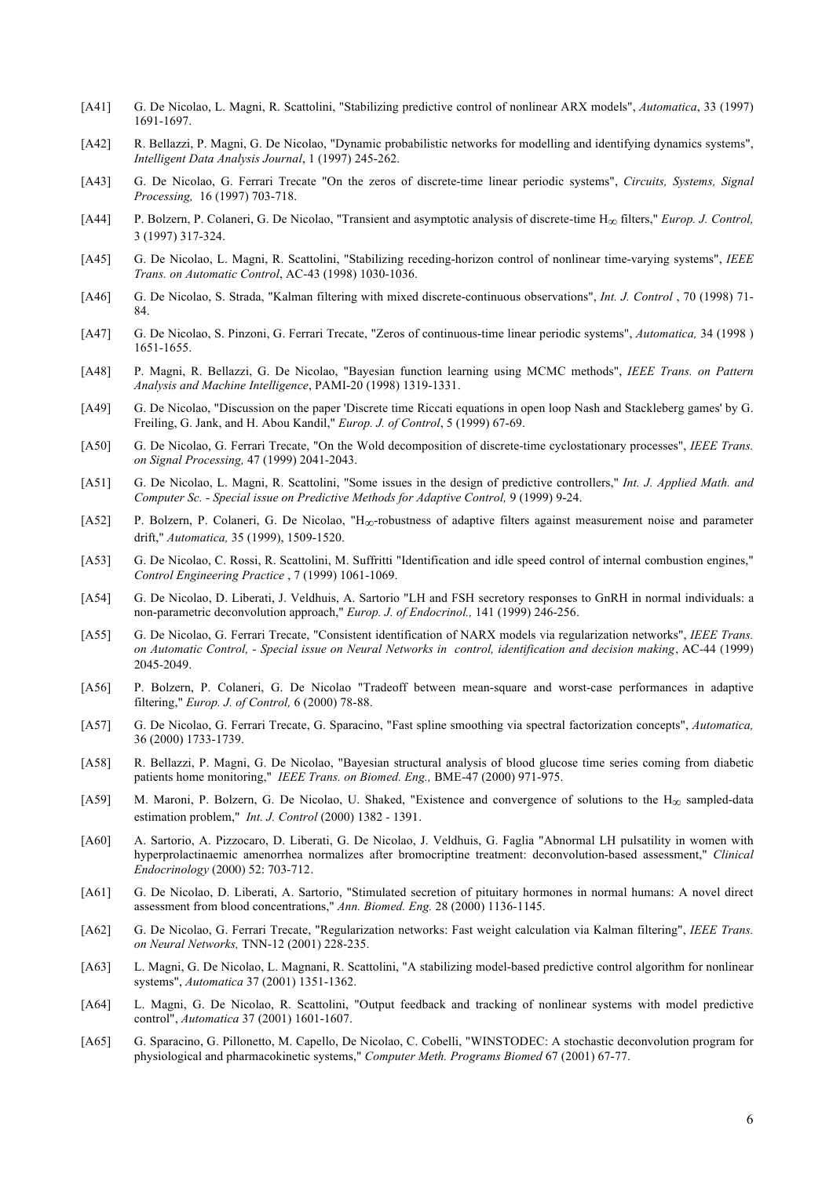- [A41] G. De Nicolao, L. Magni, R. Scattolini, "Stabilizing predictive control of nonlinear ARX models", *Automatica*, 33 (1997) 1691-1697.
- [A42] R. Bellazzi, P. Magni, G. De Nicolao, "Dynamic probabilistic networks for modelling and identifying dynamics systems", *Intelligent Data Analysis Journal*, 1 (1997) 245-262.
- [A43] G. De Nicolao, G. Ferrari Trecate "On the zeros of discrete-time linear periodic systems", *Circuits, Systems, Signal Processing,* 16 (1997) 703-718.
- [A44] P. Bolzern, P. Colaneri, G. De Nicolao, "Transient and asymptotic analysis of discrete-time H∞ filters," *Europ. J. Control,* 3 (1997) 317-324.
- [A45] G. De Nicolao, L. Magni, R. Scattolini, "Stabilizing receding-horizon control of nonlinear time-varying systems", *IEEE Trans. on Automatic Control*, AC-43 (1998) 1030-1036.
- [A46] G. De Nicolao, S. Strada, "Kalman filtering with mixed discrete-continuous observations", *Int. J. Control* , 70 (1998) 71- 84.
- [A47] G. De Nicolao, S. Pinzoni, G. Ferrari Trecate, "Zeros of continuous-time linear periodic systems", *Automatica,* 34 (1998 ) 1651-1655.
- [A48] P. Magni, R. Bellazzi, G. De Nicolao, "Bayesian function learning using MCMC methods", *IEEE Trans. on Pattern Analysis and Machine Intelligence*, PAMI-20 (1998) 1319-1331.
- [A49] G. De Nicolao, "Discussion on the paper 'Discrete time Riccati equations in open loop Nash and Stackleberg games' by G. Freiling, G. Jank, and H. Abou Kandil," *Europ. J. of Control*, 5 (1999) 67-69.
- [A50] G. De Nicolao, G. Ferrari Trecate, "On the Wold decomposition of discrete-time cyclostationary processes", *IEEE Trans. on Signal Processing,* 47 (1999) 2041-2043.
- [A51] G. De Nicolao, L. Magni, R. Scattolini, "Some issues in the design of predictive controllers," *Int. J. Applied Math. and Computer Sc. - Special issue on Predictive Methods for Adaptive Control,* 9 (1999) 9-24.
- [A52] P. Bolzern, P. Colaneri, G. De Nicolao, "H∞-robustness of adaptive filters against measurement noise and parameter drift," *Automatica,* 35 (1999), 1509-1520.
- [A53] G. De Nicolao, C. Rossi, R. Scattolini, M. Suffritti "Identification and idle speed control of internal combustion engines," *Control Engineering Practice* , 7 (1999) 1061-1069.
- [A54] G. De Nicolao, D. Liberati, J. Veldhuis, A. Sartorio "LH and FSH secretory responses to GnRH in normal individuals: a non-parametric deconvolution approach," *Europ. J. of Endocrinol.,* 141 (1999) 246-256.
- [A55] G. De Nicolao, G. Ferrari Trecate, "Consistent identification of NARX models via regularization networks", *IEEE Trans. on Automatic Control, - Special issue on Neural Networks in control, identification and decision making*, AC-44 (1999) 2045-2049.
- [A56] P. Bolzern, P. Colaneri, G. De Nicolao "Tradeoff between mean-square and worst-case performances in adaptive filtering," *Europ. J. of Control,* 6 (2000) 78-88.
- [A57] G. De Nicolao, G. Ferrari Trecate, G. Sparacino, "Fast spline smoothing via spectral factorization concepts", *Automatica,* 36 (2000) 1733-1739.
- [A58] R. Bellazzi, P. Magni, G. De Nicolao, "Bayesian structural analysis of blood glucose time series coming from diabetic patients home monitoring," *IEEE Trans. on Biomed. Eng.,* BME-47 (2000) 971-975.
- [A59] M. Maroni, P. Bolzern, G. De Nicolao, U. Shaked, "Existence and convergence of solutions to the  $H_{\infty}$  sampled-data estimation problem," *Int. J. Control* (2000) 1382 - 1391.
- [A60] A. Sartorio, A. Pizzocaro, D. Liberati, G. De Nicolao, J. Veldhuis, G. Faglia "Abnormal LH pulsatility in women with hyperprolactinaemic amenorrhea normalizes after bromocriptine treatment: deconvolution-based assessment," *Clinical Endocrinology* (2000) 52: 703-712.
- [A61] G. De Nicolao, D. Liberati, A. Sartorio, "Stimulated secretion of pituitary hormones in normal humans: A novel direct assessment from blood concentrations," *Ann. Biomed. Eng.* 28 (2000) 1136-1145.
- [A62] G. De Nicolao, G. Ferrari Trecate, "Regularization networks: Fast weight calculation via Kalman filtering", *IEEE Trans. on Neural Networks,* TNN-12 (2001) 228-235.
- [A63] L. Magni, G. De Nicolao, L. Magnani, R. Scattolini, "A stabilizing model-based predictive control algorithm for nonlinear systems", *Automatica* 37 (2001) 1351-1362.
- [A64] L. Magni, G. De Nicolao, R. Scattolini, "Output feedback and tracking of nonlinear systems with model predictive control", *Automatica* 37 (2001) 1601-1607.
- [A65] G. Sparacino, G. Pillonetto, M. Capello, De Nicolao, C. Cobelli, "WINSTODEC: A stochastic deconvolution program for physiological and pharmacokinetic systems," *Computer Meth. Programs Biomed* 67 (2001) 67-77.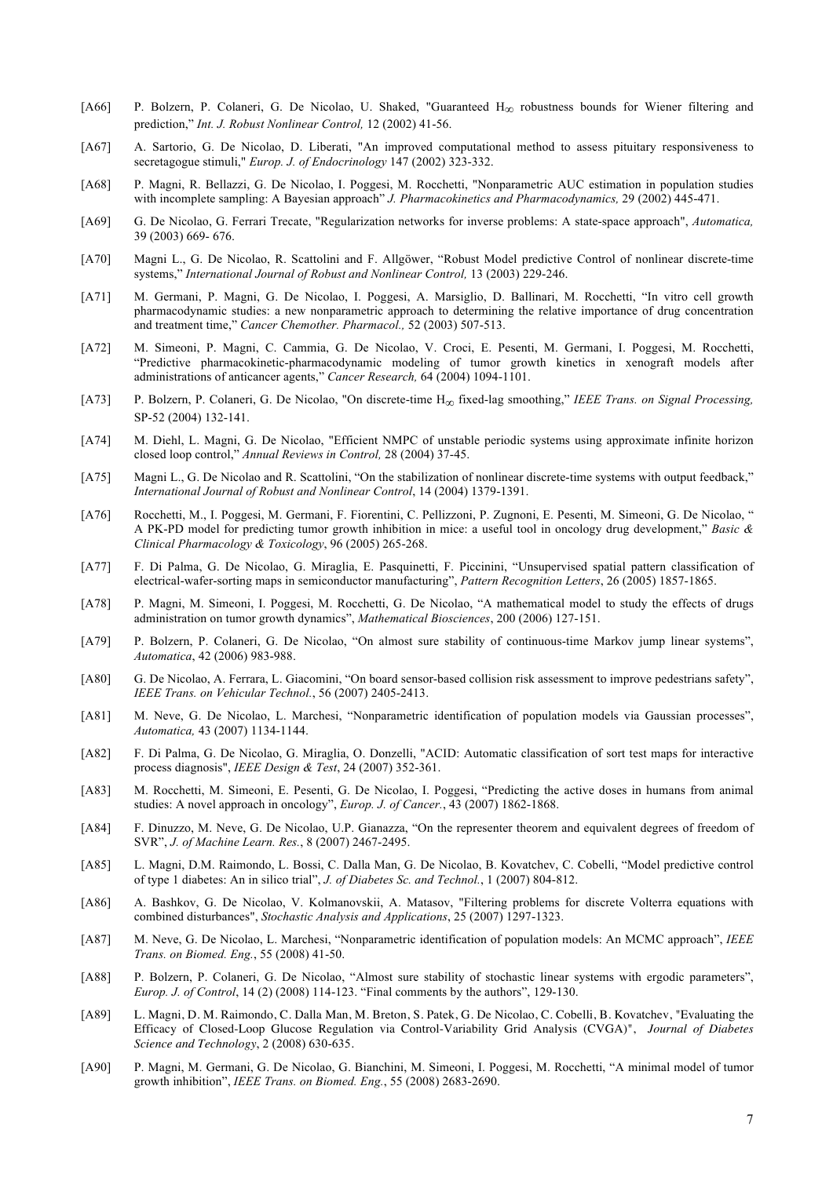- [A66] P. Bolzern, P. Colaneri, G. De Nicolao, U. Shaked, "Guaranteed H<sub>∞</sub> robustness bounds for Wiener filtering and prediction," *Int. J. Robust Nonlinear Control,* 12 (2002) 41-56.
- [A67] A. Sartorio, G. De Nicolao, D. Liberati, "An improved computational method to assess pituitary responsiveness to secretagogue stimuli," *Europ. J. of Endocrinology* 147 (2002) 323-332.
- [A68] P. Magni, R. Bellazzi, G. De Nicolao, I. Poggesi, M. Rocchetti, "Nonparametric AUC estimation in population studies with incomplete sampling: A Bayesian approach" *J. Pharmacokinetics and Pharmacodynamics,* 29 (2002) 445-471.
- [A69] G. De Nicolao, G. Ferrari Trecate, "Regularization networks for inverse problems: A state-space approach", *Automatica,* 39 (2003) 669- 676.
- [A70] Magni L., G. De Nicolao, R. Scattolini and F. Allgöwer, "Robust Model predictive Control of nonlinear discrete-time systems," *International Journal of Robust and Nonlinear Control,* 13 (2003) 229-246.
- [A71] M. Germani, P. Magni, G. De Nicolao, I. Poggesi, A. Marsiglio, D. Ballinari, M. Rocchetti, "In vitro cell growth pharmacodynamic studies: a new nonparametric approach to determining the relative importance of drug concentration and treatment time," *Cancer Chemother. Pharmacol.,* 52 (2003) 507-513.
- [A72] M. Simeoni, P. Magni, C. Cammia, G. De Nicolao, V. Croci, E. Pesenti, M. Germani, I. Poggesi, M. Rocchetti, "Predictive pharmacokinetic-pharmacodynamic modeling of tumor growth kinetics in xenograft models after administrations of anticancer agents," *Cancer Research,* 64 (2004) 1094-1101.
- [A73] P. Bolzern, P. Colaneri, G. De Nicolao, "On discrete-time H∞ fixed-lag smoothing," *IEEE Trans. on Signal Processing,*  SP-52 (2004) 132-141.
- [A74] M. Diehl, L. Magni, G. De Nicolao, "Efficient NMPC of unstable periodic systems using approximate infinite horizon closed loop control," *Annual Reviews in Control,* 28 (2004) 37-45.
- [A75] Magni L., G. De Nicolao and R. Scattolini, "On the stabilization of nonlinear discrete-time systems with output feedback," *International Journal of Robust and Nonlinear Control*, 14 (2004) 1379-1391.
- [A76] Rocchetti, M., I. Poggesi, M. Germani, F. Fiorentini, C. Pellizzoni, P. Zugnoni, E. Pesenti, M. Simeoni, G. De Nicolao, " A PK-PD model for predicting tumor growth inhibition in mice: a useful tool in oncology drug development," *Basic & Clinical Pharmacology & Toxicology*, 96 (2005) 265-268.
- [A77] F. Di Palma, G. De Nicolao, G. Miraglia, E. Pasquinetti, F. Piccinini, "Unsupervised spatial pattern classification of electrical-wafer-sorting maps in semiconductor manufacturing", *Pattern Recognition Letters*, 26 (2005) 1857-1865.
- [A78] P. Magni, M. Simeoni, I. Poggesi, M. Rocchetti, G. De Nicolao, "A mathematical model to study the effects of drugs administration on tumor growth dynamics", *Mathematical Biosciences*, 200 (2006) 127-151.
- [A79] P. Bolzern, P. Colaneri, G. De Nicolao, "On almost sure stability of continuous-time Markov jump linear systems", *Automatica*, 42 (2006) 983-988.
- [A80] G. De Nicolao, A. Ferrara, L. Giacomini, "On board sensor-based collision risk assessment to improve pedestrians safety", *IEEE Trans. on Vehicular Technol.*, 56 (2007) 2405-2413.
- [A81] M. Neve, G. De Nicolao, L. Marchesi, "Nonparametric identification of population models via Gaussian processes", *Automatica,* 43 (2007) 1134-1144.
- [A82] F. Di Palma, G. De Nicolao, G. Miraglia, O. Donzelli, "ACID: Automatic classification of sort test maps for interactive process diagnosis", *IEEE Design & Test*, 24 (2007) 352-361.
- [A83] M. Rocchetti, M. Simeoni, E. Pesenti, G. De Nicolao, I. Poggesi, "Predicting the active doses in humans from animal studies: A novel approach in oncology", *Europ. J. of Cancer.*, 43 (2007) 1862-1868.
- [A84] F. Dinuzzo, M. Neve, G. De Nicolao, U.P. Gianazza, "On the representer theorem and equivalent degrees of freedom of SVR", *J. of Machine Learn. Res.*, 8 (2007) 2467-2495.
- [A85] L. Magni, D.M. Raimondo, L. Bossi, C. Dalla Man, G. De Nicolao, B. Kovatchev, C. Cobelli, "Model predictive control of type 1 diabetes: An in silico trial", *J. of Diabetes Sc. and Technol.*, 1 (2007) 804-812.
- [A86] A. Bashkov, G. De Nicolao, V. Kolmanovskii, A. Matasov, "Filtering problems for discrete Volterra equations with combined disturbances", *Stochastic Analysis and Applications*, 25 (2007) 1297-1323.
- [A87] M. Neve, G. De Nicolao, L. Marchesi, "Nonparametric identification of population models: An MCMC approach", *IEEE Trans. on Biomed. Eng.*, 55 (2008) 41-50.
- [A88] P. Bolzern, P. Colaneri, G. De Nicolao, "Almost sure stability of stochastic linear systems with ergodic parameters", *Europ. J. of Control*, 14 (2) (2008) 114-123. "Final comments by the authors", 129-130.
- [A89] L. Magni, D. M. Raimondo, C. Dalla Man, M. Breton, S. Patek, G. De Nicolao, C. Cobelli, B. Kovatchev, "Evaluating the Efficacy of Closed-Loop Glucose Regulation via Control-Variability Grid Analysis (CVGA)", *Journal of Diabetes Science and Technology*, 2 (2008) 630-635.
- [A90] P. Magni, M. Germani, G. De Nicolao, G. Bianchini, M. Simeoni, I. Poggesi, M. Rocchetti, "A minimal model of tumor growth inhibition", *IEEE Trans. on Biomed. Eng.*, 55 (2008) 2683-2690.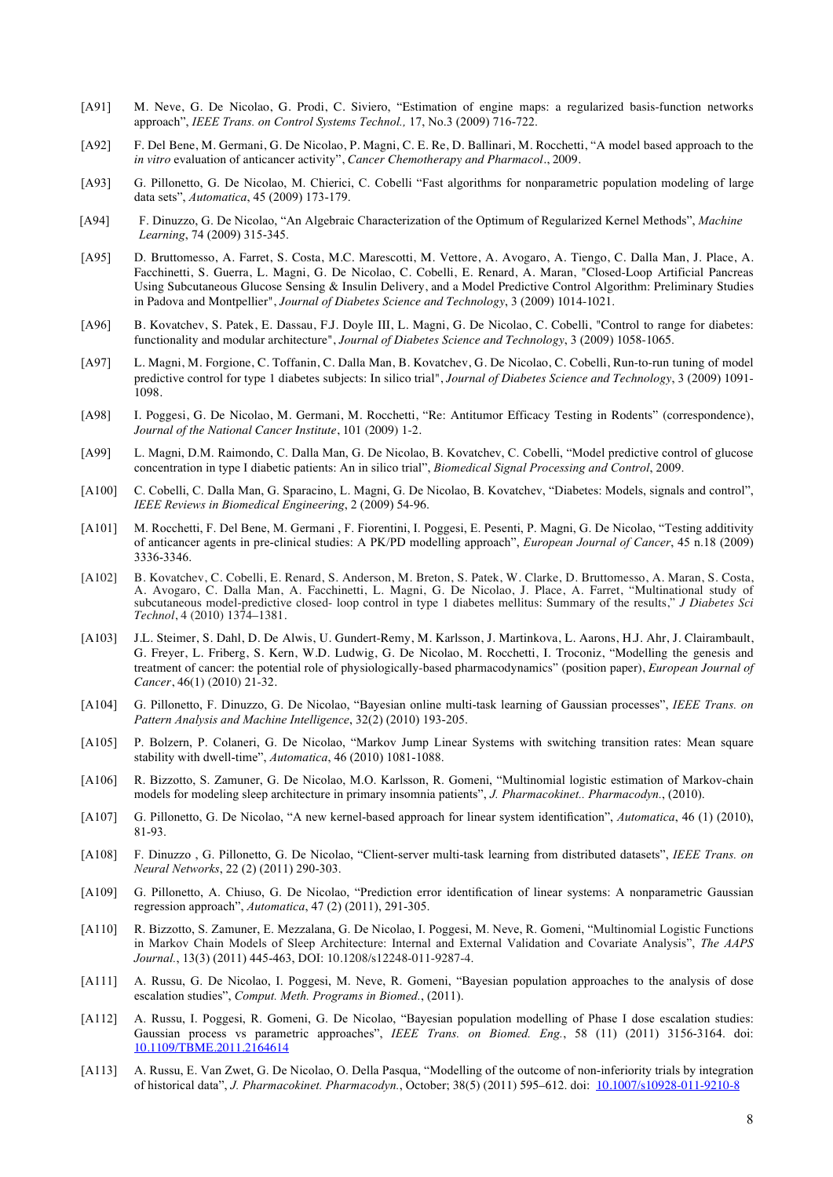- [A91] M. Neve, G. De Nicolao, G. Prodi, C. Siviero, "Estimation of engine maps: a regularized basis-function networks approach", *IEEE Trans. on Control Systems Technol.,* 17, No.3 (2009) 716-722.
- [A92] F. Del Bene, M. Germani, G. De Nicolao, P. Magni, C. E. Re, D. Ballinari, M. Rocchetti, "A model based approach to the *in vitro* evaluation of anticancer activity", *Cancer Chemotherapy and Pharmacol.*, 2009.
- [A93] G. Pillonetto, G. De Nicolao, M. Chierici, C. Cobelli "Fast algorithms for nonparametric population modeling of large data sets", *Automatica*, 45 (2009) 173-179.
- [A94] F. Dinuzzo, G. De Nicolao, "An Algebraic Characterization of the Optimum of Regularized Kernel Methods", *Machine Learning*, 74 (2009) 315-345.
- [A95] D. Bruttomesso, A. Farret, S. Costa, M.C. Marescotti, M. Vettore, A. Avogaro, A. Tiengo, C. Dalla Man, J. Place, A. Facchinetti, S. Guerra, L. Magni, G. De Nicolao, C. Cobelli, E. Renard, A. Maran, "Closed-Loop Artificial Pancreas Using Subcutaneous Glucose Sensing & Insulin Delivery, and a Model Predictive Control Algorithm: Preliminary Studies in Padova and Montpellier", *Journal of Diabetes Science and Technology*, 3 (2009) 1014-1021.
- [A96] B. Kovatchev, S. Patek, E. Dassau, F.J. Doyle III, L. Magni, G. De Nicolao, C. Cobelli, "Control to range for diabetes: functionality and modular architecture", *Journal of Diabetes Science and Technology*, 3 (2009) 1058-1065.
- [A97] L. Magni, M. Forgione, C. Toffanin, C. Dalla Man, B. Kovatchev, G. De Nicolao, C. Cobelli, Run-to-run tuning of model predictive control for type 1 diabetes subjects: In silico trial", *Journal of Diabetes Science and Technology*, 3 (2009) 1091- 1098.
- [A98] I. Poggesi, G. De Nicolao, M. Germani, M. Rocchetti, "Re: Antitumor Efficacy Testing in Rodents" (correspondence), *Journal of the National Cancer Institute*, 101 (2009) 1-2.
- [A99] L. Magni, D.M. Raimondo, C. Dalla Man, G. De Nicolao, B. Kovatchev, C. Cobelli, "Model predictive control of glucose concentration in type I diabetic patients: An in silico trial", *Biomedical Signal Processing and Control*, 2009.
- [A100] C. Cobelli, C. Dalla Man, G. Sparacino, L. Magni, G. De Nicolao, B. Kovatchev, "Diabetes: Models, signals and control", *IEEE Reviews in Biomedical Engineering*, 2 (2009) 54-96.
- [A101] M. Rocchetti, F. Del Bene, M. Germani , F. Fiorentini, I. Poggesi, E. Pesenti, P. Magni, G. De Nicolao, "Testing additivity of anticancer agents in pre-clinical studies: A PK/PD modelling approach", *European Journal of Cancer*, 45 n.18 (2009) 3336-3346.
- [A102] B. Kovatchev, C. Cobelli, E. Renard, S. Anderson, M. Breton, S. Patek, W. Clarke, D. Bruttomesso, A. Maran, S. Costa, A. Avogaro, C. Dalla Man, A. Facchinetti, L. Magni, G. De Nicolao, J. Place, A. Farret, "Multinational study of subcutaneous model-predictive closed- loop control in type 1 diabetes mellitus: Summary of the results," *J Diabetes Sci Technol*, 4 (2010) 1374–1381.
- [A103] J.L. Steimer, S. Dahl, D. De Alwis, U. Gundert-Remy, M. Karlsson, J. Martinkova, L. Aarons, H.J. Ahr, J. Clairambault, G. Freyer, L. Friberg, S. Kern, W.D. Ludwig, G. De Nicolao, M. Rocchetti, I. Troconiz, "Modelling the genesis and treatment of cancer: the potential role of physiologically-based pharmacodynamics" (position paper), *European Journal of Cancer*, 46(1) (2010) 21-32.
- [A104] G. Pillonetto, F. Dinuzzo, G. De Nicolao, "Bayesian online multi-task learning of Gaussian processes", *IEEE Trans. on Pattern Analysis and Machine Intelligence*, 32(2) (2010) 193-205.
- [A105] P. Bolzern, P. Colaneri, G. De Nicolao, "Markov Jump Linear Systems with switching transition rates: Mean square stability with dwell-time", *Automatica*, 46 (2010) 1081-1088.
- [A106] R. Bizzotto, S. Zamuner, G. De Nicolao, M.O. Karlsson, R. Gomeni, "Multinomial logistic estimation of Markov-chain models for modeling sleep architecture in primary insomnia patients", *J. Pharmacokinet.. Pharmacodyn.*, (2010).
- [A107] G. Pillonetto, G. De Nicolao, "A new kernel-based approach for linear system identification", *Automatica*, 46 (1) (2010), 81-93.
- [A108] F. Dinuzzo , G. Pillonetto, G. De Nicolao, "Client-server multi-task learning from distributed datasets", *IEEE Trans. on Neural Networks*, 22 (2) (2011) 290-303.
- [A109] G. Pillonetto, A. Chiuso, G. De Nicolao, "Prediction error identification of linear systems: A nonparametric Gaussian regression approach", *Automatica*, 47 (2) (2011), 291-305.
- [A110] R. Bizzotto, S. Zamuner, E. Mezzalana, G. De Nicolao, I. Poggesi, M. Neve, R. Gomeni, "Multinomial Logistic Functions in Markov Chain Models of Sleep Architecture: Internal and External Validation and Covariate Analysis", *The AAPS Journal.*, 13(3) (2011) 445-463, DOI: 10.1208/s12248-011-9287-4.
- [A111] A. Russu, G. De Nicolao, I. Poggesi, M. Neve, R. Gomeni, "Bayesian population approaches to the analysis of dose escalation studies", *Comput. Meth. Programs in Biomed.*, (2011).
- [A112] A. Russu, I. Poggesi, R. Gomeni, G. De Nicolao, "Bayesian population modelling of Phase I dose escalation studies: Gaussian process vs parametric approaches", *IEEE Trans. on Biomed. Eng.*, 58 (11) (2011) 3156-3164. doi: 10.1109/TBME.2011.2164614
- [A113] A. Russu, E. Van Zwet, G. De Nicolao, O. Della Pasqua, "Modelling of the outcome of non-inferiority trials by integration of historical data", *J. Pharmacokinet. Pharmacodyn.*, October; 38(5) (2011) 595–612. doi: 10.1007/s10928-011-9210-8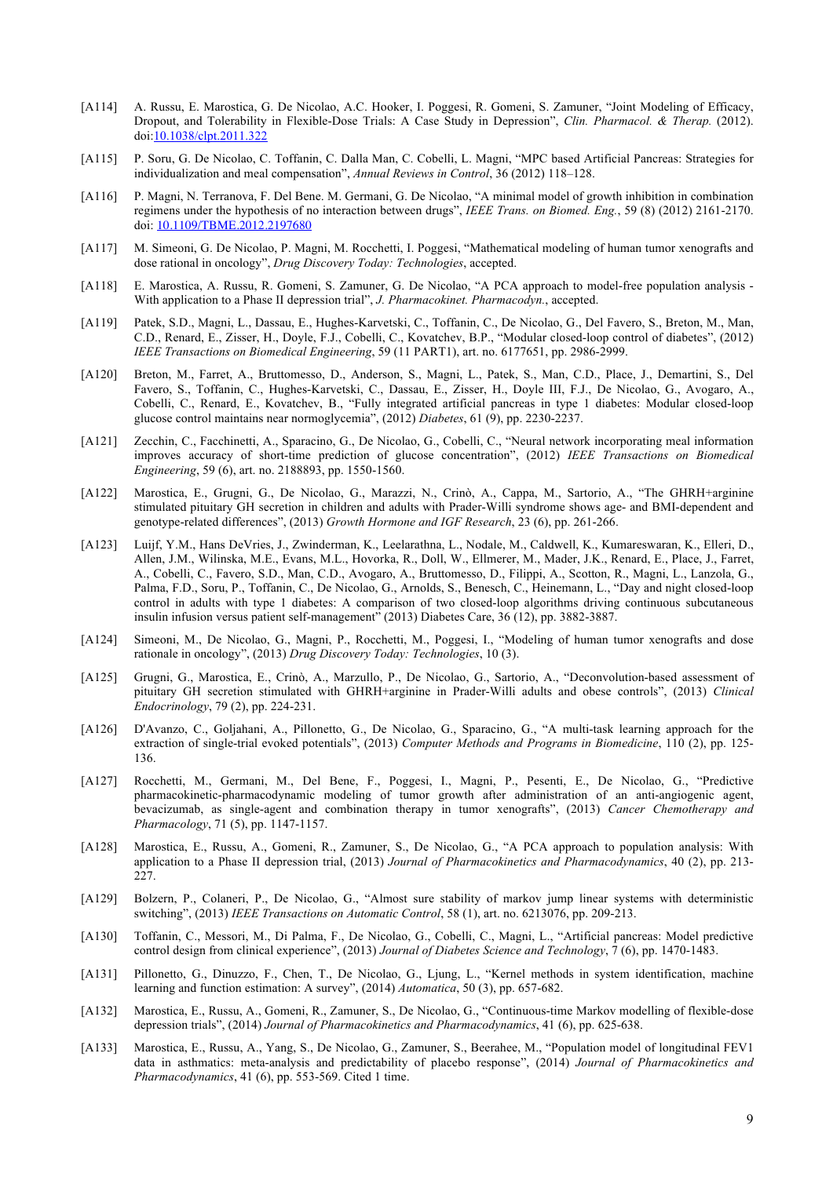- [A114] A. Russu, E. Marostica, G. De Nicolao, A.C. Hooker, I. Poggesi, R. Gomeni, S. Zamuner, "Joint Modeling of Efficacy, Dropout, and Tolerability in Flexible-Dose Trials: A Case Study in Depression", *Clin. Pharmacol. & Therap.* (2012). doi:10.1038/clpt.2011.322
- [A115] P. Soru, G. De Nicolao, C. Toffanin, C. Dalla Man, C. Cobelli, L. Magni, "MPC based Artificial Pancreas: Strategies for individualization and meal compensation", *Annual Reviews in Control*, 36 (2012) 118–128.
- [A116] P. Magni, N. Terranova, F. Del Bene. M. Germani, G. De Nicolao, "A minimal model of growth inhibition in combination regimens under the hypothesis of no interaction between drugs", *IEEE Trans. on Biomed. Eng.*, 59 (8) (2012) 2161-2170. doi: 10.1109/TBME.2012.2197680
- [A117] M. Simeoni, G. De Nicolao, P. Magni, M. Rocchetti, I. Poggesi, "Mathematical modeling of human tumor xenografts and dose rational in oncology", *Drug Discovery Today: Technologies*, accepted.
- [A118] E. Marostica, A. Russu, R. Gomeni, S. Zamuner, G. De Nicolao, "A PCA approach to model-free population analysis With application to a Phase II depression trial", *J. Pharmacokinet. Pharmacodyn.*, accepted.
- [A119] Patek, S.D., Magni, L., Dassau, E., Hughes-Karvetski, C., Toffanin, C., De Nicolao, G., Del Favero, S., Breton, M., Man, C.D., Renard, E., Zisser, H., Doyle, F.J., Cobelli, C., Kovatchev, B.P., "Modular closed-loop control of diabetes", (2012) *IEEE Transactions on Biomedical Engineering*, 59 (11 PART1), art. no. 6177651, pp. 2986-2999.
- [A120] Breton, M., Farret, A., Bruttomesso, D., Anderson, S., Magni, L., Patek, S., Man, C.D., Place, J., Demartini, S., Del Favero, S., Toffanin, C., Hughes-Karvetski, C., Dassau, E., Zisser, H., Doyle III, F.J., De Nicolao, G., Avogaro, A., Cobelli, C., Renard, E., Kovatchev, B., "Fully integrated artificial pancreas in type 1 diabetes: Modular closed-loop glucose control maintains near normoglycemia", (2012) *Diabetes*, 61 (9), pp. 2230-2237.
- [A121] Zecchin, C., Facchinetti, A., Sparacino, G., De Nicolao, G., Cobelli, C., "Neural network incorporating meal information improves accuracy of short-time prediction of glucose concentration", (2012) *IEEE Transactions on Biomedical Engineering*, 59 (6), art. no. 2188893, pp. 1550-1560.
- [A122] Marostica, E., Grugni, G., De Nicolao, G., Marazzi, N., Crinò, A., Cappa, M., Sartorio, A., "The GHRH+arginine stimulated pituitary GH secretion in children and adults with Prader-Willi syndrome shows age- and BMI-dependent and genotype-related differences", (2013) *Growth Hormone and IGF Research*, 23 (6), pp. 261-266.
- [A123] Luijf, Y.M., Hans DeVries, J., Zwinderman, K., Leelarathna, L., Nodale, M., Caldwell, K., Kumareswaran, K., Elleri, D., Allen, J.M., Wilinska, M.E., Evans, M.L., Hovorka, R., Doll, W., Ellmerer, M., Mader, J.K., Renard, E., Place, J., Farret, A., Cobelli, C., Favero, S.D., Man, C.D., Avogaro, A., Bruttomesso, D., Filippi, A., Scotton, R., Magni, L., Lanzola, G., Palma, F.D., Soru, P., Toffanin, C., De Nicolao, G., Arnolds, S., Benesch, C., Heinemann, L., "Day and night closed-loop control in adults with type 1 diabetes: A comparison of two closed-loop algorithms driving continuous subcutaneous insulin infusion versus patient self-management" (2013) Diabetes Care, 36 (12), pp. 3882-3887.
- [A124] Simeoni, M., De Nicolao, G., Magni, P., Rocchetti, M., Poggesi, I., "Modeling of human tumor xenografts and dose rationale in oncology", (2013) *Drug Discovery Today: Technologies*, 10 (3).
- [A125] Grugni, G., Marostica, E., Crinò, A., Marzullo, P., De Nicolao, G., Sartorio, A., "Deconvolution-based assessment of pituitary GH secretion stimulated with GHRH+arginine in Prader-Willi adults and obese controls", (2013) *Clinical Endocrinology*, 79 (2), pp. 224-231.
- [A126] D'Avanzo, C., Goljahani, A., Pillonetto, G., De Nicolao, G., Sparacino, G., "A multi-task learning approach for the extraction of single-trial evoked potentials", (2013) *Computer Methods and Programs in Biomedicine*, 110 (2), pp. 125- 136.
- [A127] Rocchetti, M., Germani, M., Del Bene, F., Poggesi, I., Magni, P., Pesenti, E., De Nicolao, G., "Predictive pharmacokinetic-pharmacodynamic modeling of tumor growth after administration of an anti-angiogenic agent, bevacizumab, as single-agent and combination therapy in tumor xenografts", (2013) *Cancer Chemotherapy and Pharmacology*, 71 (5), pp. 1147-1157.
- [A128] Marostica, E., Russu, A., Gomeni, R., Zamuner, S., De Nicolao, G., "A PCA approach to population analysis: With application to a Phase II depression trial, (2013) *Journal of Pharmacokinetics and Pharmacodynamics*, 40 (2), pp. 213- 227.
- [A129] Bolzern, P., Colaneri, P., De Nicolao, G., "Almost sure stability of markov jump linear systems with deterministic switching", (2013) *IEEE Transactions on Automatic Control*, 58 (1), art. no. 6213076, pp. 209-213.
- [A130] Toffanin, C., Messori, M., Di Palma, F., De Nicolao, G., Cobelli, C., Magni, L., "Artificial pancreas: Model predictive control design from clinical experience", (2013) *Journal of Diabetes Science and Technology*, 7 (6), pp. 1470-1483.
- [A131] Pillonetto, G., Dinuzzo, F., Chen, T., De Nicolao, G., Ljung, L., "Kernel methods in system identification, machine learning and function estimation: A survey", (2014) *Automatica*, 50 (3), pp. 657-682.
- [A132] Marostica, E., Russu, A., Gomeni, R., Zamuner, S., De Nicolao, G., "Continuous-time Markov modelling of flexible-dose depression trials", (2014) *Journal of Pharmacokinetics and Pharmacodynamics*, 41 (6), pp. 625-638.
- [A133] Marostica, E., Russu, A., Yang, S., De Nicolao, G., Zamuner, S., Beerahee, M., "Population model of longitudinal FEV1 data in asthmatics: meta-analysis and predictability of placebo response", (2014) *Journal of Pharmacokinetics and Pharmacodynamics*, 41 (6), pp. 553-569. Cited 1 time.